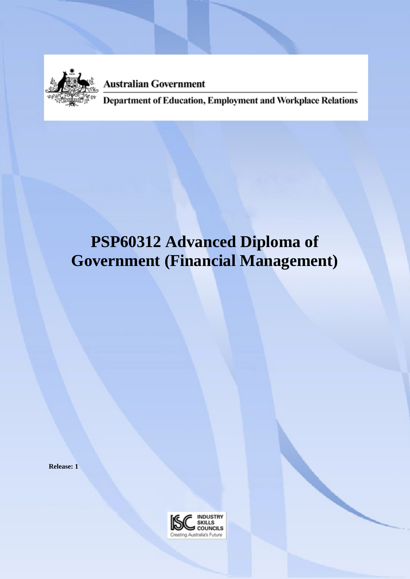

**Australian Government** 

Department of Education, Employment and Workplace Relations

# **PSP60312 Advanced Diploma of Government (Financial Management)**

**Release: 1**

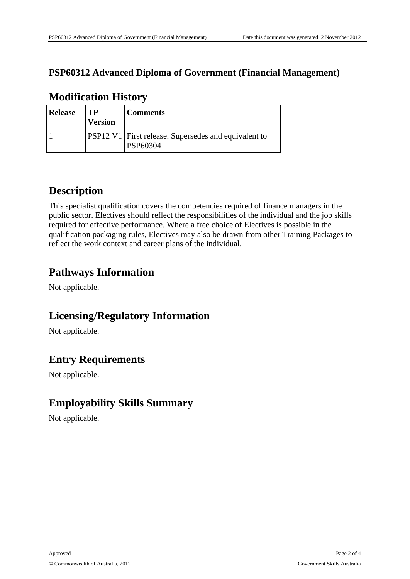#### **PSP60312 Advanced Diploma of Government (Financial Management)**

| <b>Release</b> | TP<br><b>Version</b> | <b>Comments</b>                                                         |
|----------------|----------------------|-------------------------------------------------------------------------|
|                |                      | <b>PSP12 V1</b> First release. Supersedes and equivalent to<br>PSP60304 |

#### **Modification History**

### **Description**

This specialist qualification covers the competencies required of finance managers in the public sector. Electives should reflect the responsibilities of the individual and the job skills required for effective performance. Where a free choice of Electives is possible in the qualification packaging rules, Electives may also be drawn from other Training Packages to reflect the work context and career plans of the individual.

# **Pathways Information**

Not applicable.

#### **Licensing/Regulatory Information**

Not applicable.

# **Entry Requirements**

Not applicable.

# **Employability Skills Summary**

Not applicable.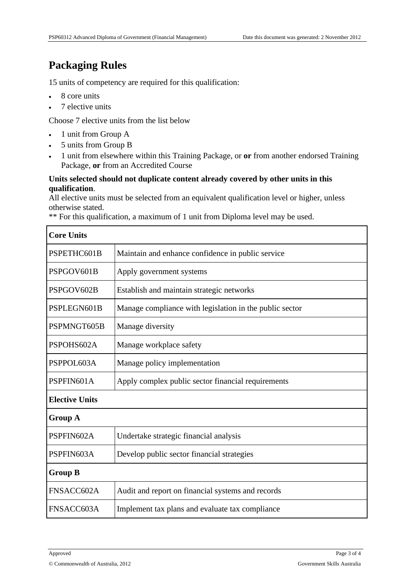# **Packaging Rules**

15 units of competency are required for this qualification:

- $\cdot$  8 core units
- 7 elective units

Choose 7 elective units from the list below

- 1 unit from Group A
- 5 units from Group B
- 1 unit from elsewhere within this Training Package, or **or** from another endorsed Training Package, **or** from an Accredited Course

#### **Units selected should not duplicate content already covered by other units in this qualification**.

All elective units must be selected from an equivalent qualification level or higher, unless otherwise stated.

\*\* For this qualification, a maximum of 1 unit from Diploma level may be used.

| <b>Core Units</b>     |                                                         |  |  |
|-----------------------|---------------------------------------------------------|--|--|
| PSPETHC601B           | Maintain and enhance confidence in public service       |  |  |
| PSPGOV601B            | Apply government systems                                |  |  |
| PSPGOV602B            | Establish and maintain strategic networks               |  |  |
| PSPLEGN601B           | Manage compliance with legislation in the public sector |  |  |
| PSPMNGT605B           | Manage diversity                                        |  |  |
| PSPOHS602A            | Manage workplace safety                                 |  |  |
| PSPPOL603A            | Manage policy implementation                            |  |  |
| PSPFIN601A            | Apply complex public sector financial requirements      |  |  |
| <b>Elective Units</b> |                                                         |  |  |
| <b>Group A</b>        |                                                         |  |  |
| PSPFIN602A            | Undertake strategic financial analysis                  |  |  |
| PSPFIN603A            | Develop public sector financial strategies              |  |  |
| <b>Group B</b>        |                                                         |  |  |
| FNSACC602A            | Audit and report on financial systems and records       |  |  |
| FNSACC603A            | Implement tax plans and evaluate tax compliance         |  |  |